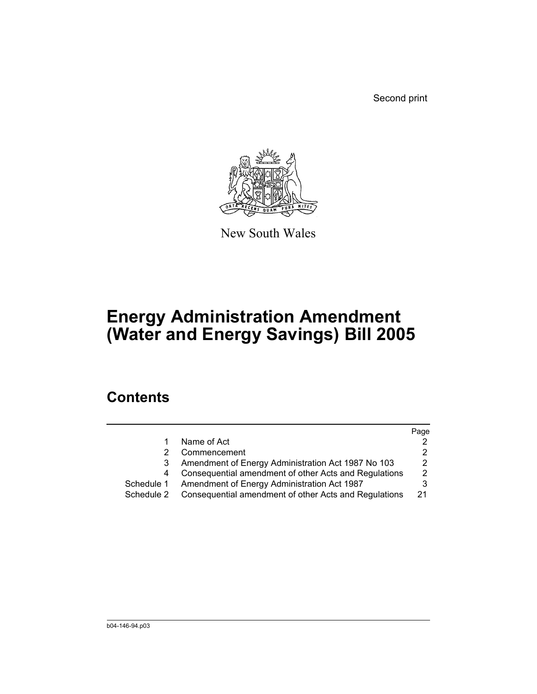Second print



New South Wales

# **Energy Administration Amendment (Water and Energy Savings) Bill 2005**

## **Contents**

|            |                                                       | Page |
|------------|-------------------------------------------------------|------|
|            | Name of Act                                           |      |
|            | Commencement                                          |      |
|            | Amendment of Energy Administration Act 1987 No 103    |      |
|            | Consequential amendment of other Acts and Regulations | 2    |
| Schedule 1 | Amendment of Energy Administration Act 1987           |      |
| Schedule 2 | Consequential amendment of other Acts and Regulations | -21  |
|            |                                                       |      |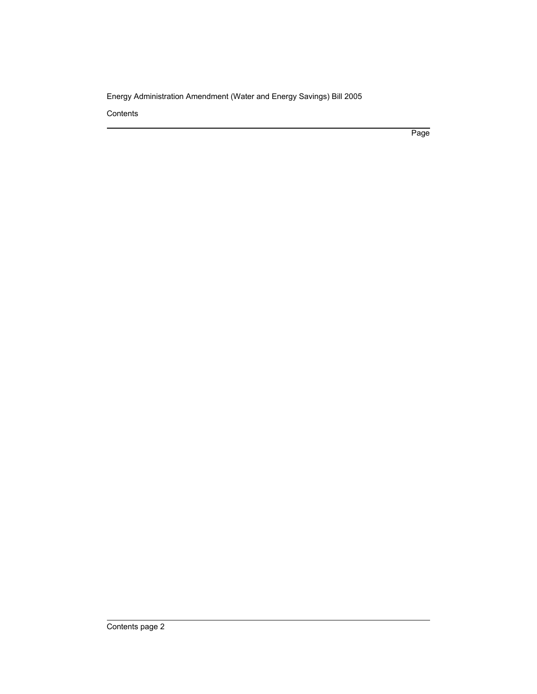**Contents** 

Page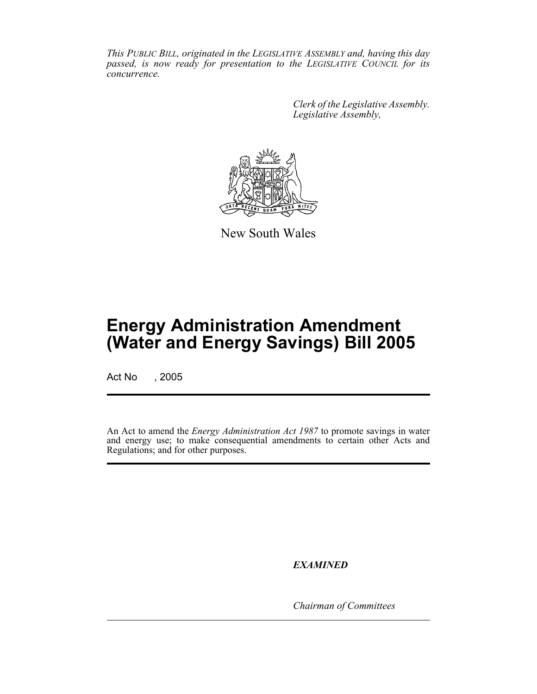*This PUBLIC BILL, originated in the LEGISLATIVE ASSEMBLY and, having this day passed, is now ready for presentation to the LEGISLATIVE COUNCIL for its concurrence.*

> *Clerk of the Legislative Assembly. Legislative Assembly,*



New South Wales

## **Energy Administration Amendment (Water and Energy Savings) Bill 2005**

Act No , 2005

An Act to amend the *Energy Administration Act 1987* to promote savings in water and energy use; to make consequential amendments to certain other Acts and Regulations; and for other purposes.

*EXAMINED*

*Chairman of Committees*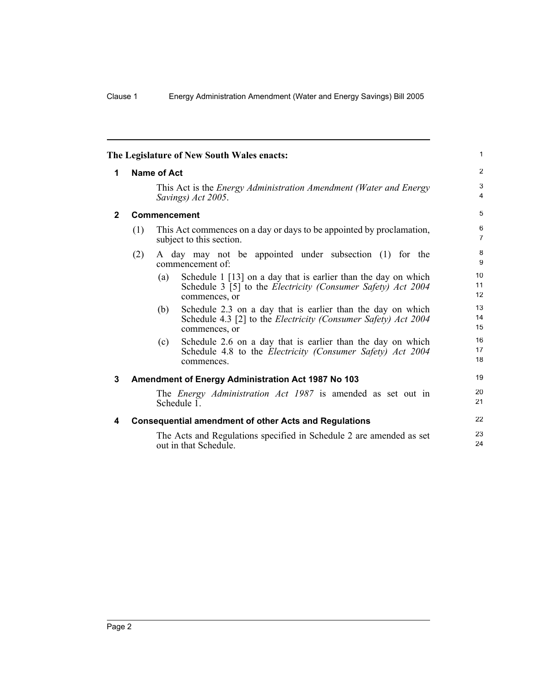| The Legislature of New South Wales enacts: |             |                                                                                                                                                               |                             |  |  |  |
|--------------------------------------------|-------------|---------------------------------------------------------------------------------------------------------------------------------------------------------------|-----------------------------|--|--|--|
| 1                                          | Name of Act |                                                                                                                                                               |                             |  |  |  |
|                                            |             | This Act is the <i>Energy Administration Amendment (Water and Energy</i><br>Savings) Act 2005.                                                                | 3<br>$\overline{4}$         |  |  |  |
| $\mathbf{2}$                               |             | Commencement                                                                                                                                                  | 5                           |  |  |  |
|                                            | (1)         | This Act commences on a day or days to be appointed by proclamation,<br>subject to this section.                                                              | 6<br>$\overline{7}$         |  |  |  |
|                                            | (2)         | A day may not be appointed under subsection (1) for the<br>commencement of:                                                                                   | 8<br>9                      |  |  |  |
|                                            |             | Schedule 1 [13] on a day that is earlier than the day on which<br>(a)<br>Schedule 3 [5] to the <i>Electricity (Consumer Safety) Act 2004</i><br>commences, or | 10 <sup>°</sup><br>11<br>12 |  |  |  |
|                                            |             | Schedule 2.3 on a day that is earlier than the day on which<br>(b)<br>Schedule 4.3 [2] to the <i>Electricity (Consumer Safety) Act 2004</i><br>commences, or  | 13<br>14<br>15              |  |  |  |
|                                            |             | Schedule 2.6 on a day that is earlier than the day on which<br>(c)<br>Schedule 4.8 to the Electricity (Consumer Safety) Act 2004<br>commences.                | 16<br>17<br>18              |  |  |  |
| 3                                          |             | Amendment of Energy Administration Act 1987 No 103                                                                                                            | 19                          |  |  |  |
|                                            |             | The <i>Energy Administration Act 1987</i> is amended as set out in<br>Schedule 1.                                                                             | 20<br>21                    |  |  |  |
| 4                                          |             | <b>Consequential amendment of other Acts and Regulations</b>                                                                                                  | 22                          |  |  |  |
|                                            |             | The Acts and Regulations specified in Schedule 2 are amended as set<br>out in that Schedule.                                                                  | 23<br>24                    |  |  |  |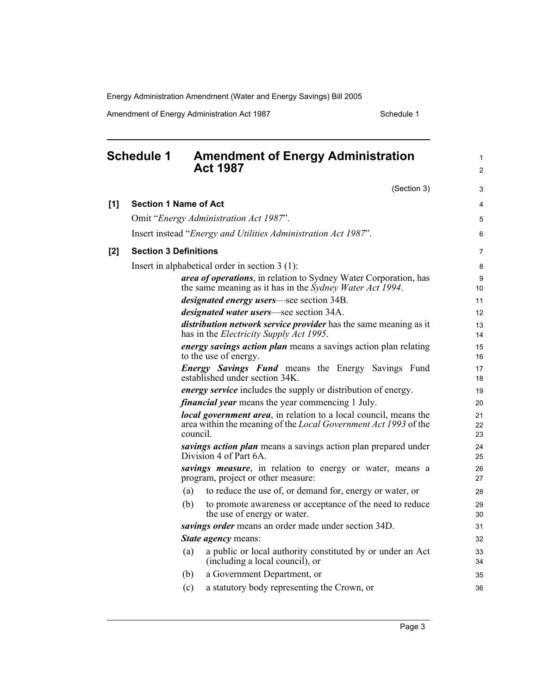Amendment of Energy Administration Act 1987 Material Contract Schedule 1

1 2

|     | (Section 3)                                                                                                                                                   | 3              |  |  |  |  |  |
|-----|---------------------------------------------------------------------------------------------------------------------------------------------------------------|----------------|--|--|--|--|--|
| [1] | <b>Section 1 Name of Act</b>                                                                                                                                  | 4              |  |  |  |  |  |
|     | Omit "Energy Administration Act 1987".                                                                                                                        | 5              |  |  |  |  |  |
|     | Insert instead "Energy and Utilities Administration Act 1987".                                                                                                | 6              |  |  |  |  |  |
| [2] | <b>Section 3 Definitions</b>                                                                                                                                  | $\overline{7}$ |  |  |  |  |  |
|     | Insert in alphabetical order in section $3(1)$ :                                                                                                              |                |  |  |  |  |  |
|     | <i>area of operations</i> , in relation to Sydney Water Corporation, has<br>the same meaning as it has in the Sydney Water Act 1994.                          | 9<br>10        |  |  |  |  |  |
|     | <i>designated energy users</i> —see section 34B.                                                                                                              | 11             |  |  |  |  |  |
|     | <i>designated water users</i> —see section 34A.                                                                                                               | 12             |  |  |  |  |  |
|     | <i>distribution network service provider</i> has the same meaning as it<br>has in the <i>Electricity Supply Act 1995</i> .                                    | 13<br>14       |  |  |  |  |  |
|     | <i>energy savings action plan</i> means a savings action plan relating<br>to the use of energy.                                                               | 15<br>16       |  |  |  |  |  |
|     | <b>Energy Savings Fund</b> means the Energy Savings Fund<br>established under section 34K.                                                                    | 17<br>18       |  |  |  |  |  |
|     | <i>energy service</i> includes the supply or distribution of energy.                                                                                          | 19             |  |  |  |  |  |
|     | <i>financial year</i> means the year commencing 1 July.                                                                                                       | 20             |  |  |  |  |  |
|     | <b><i>local government area,</i></b> in relation to a local council, means the<br>area within the meaning of the Local Government Act 1993 of the<br>council. | 21<br>22<br>23 |  |  |  |  |  |
|     | savings action plan means a savings action plan prepared under<br>Division 4 of Part 6A.                                                                      | 24<br>25       |  |  |  |  |  |
|     | savings measure, in relation to energy or water, means a<br>program, project or other measure:                                                                | 26<br>27       |  |  |  |  |  |
|     | to reduce the use of, or demand for, energy or water, or<br>(a)                                                                                               | 28             |  |  |  |  |  |
|     | to promote awareness or acceptance of the need to reduce<br>(b)<br>the use of energy or water.                                                                | 29<br>30       |  |  |  |  |  |
|     | savings order means an order made under section 34D.                                                                                                          | 31             |  |  |  |  |  |
|     | <i>State agency</i> means:                                                                                                                                    | 32             |  |  |  |  |  |
|     | a public or local authority constituted by or under an Act<br>(a)<br>(including a local council), or                                                          | 33<br>34       |  |  |  |  |  |
|     | a Government Department, or<br>(b)                                                                                                                            | 35             |  |  |  |  |  |
|     | a statutory body representing the Crown, or<br>(c)                                                                                                            | 36             |  |  |  |  |  |
|     |                                                                                                                                                               |                |  |  |  |  |  |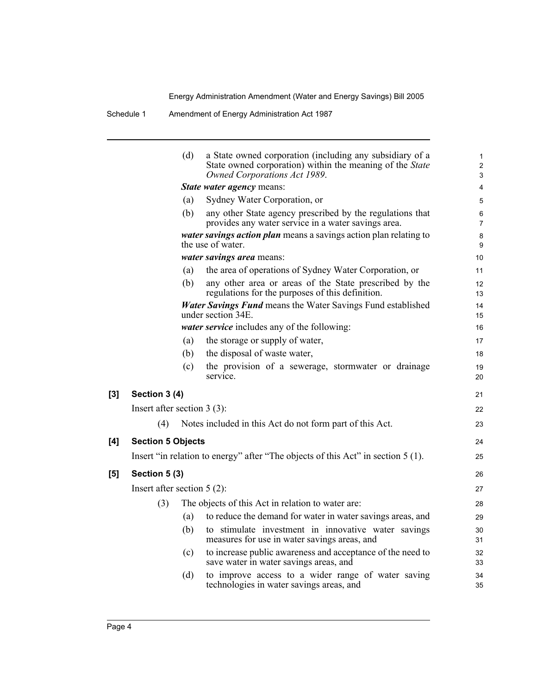|     |                               | (d) | a State owned corporation (including any subsidiary of a<br>State owned corporation) within the meaning of the State<br>Owned Corporations Act 1989. | 1<br>$\overline{2}$<br>3 |
|-----|-------------------------------|-----|------------------------------------------------------------------------------------------------------------------------------------------------------|--------------------------|
|     |                               |     | State water agency means:                                                                                                                            | 4                        |
|     |                               | (a) | Sydney Water Corporation, or                                                                                                                         | 5                        |
|     |                               | (b) | any other State agency prescribed by the regulations that<br>provides any water service in a water savings area.                                     | 6<br>$\overline{7}$      |
|     |                               |     | <i>water savings action plan</i> means a savings action plan relating to<br>the use of water.                                                        | $\bf 8$<br>9             |
|     |                               |     | water savings area means:                                                                                                                            | 10 <sup>1</sup>          |
|     |                               | (a) | the area of operations of Sydney Water Corporation, or                                                                                               | 11                       |
|     |                               | (b) | any other area or areas of the State prescribed by the<br>regulations for the purposes of this definition.                                           | 12 <sup>2</sup><br>13    |
|     |                               |     | <b>Water Savings Fund</b> means the Water Savings Fund established<br>under section 34E.                                                             | 14<br>15                 |
|     |                               |     | <i>water service</i> includes any of the following:                                                                                                  | 16                       |
|     |                               | (a) | the storage or supply of water,                                                                                                                      | 17                       |
|     |                               | (b) | the disposal of waste water,                                                                                                                         | 18                       |
|     |                               | (c) | the provision of a sewerage, stormwater or drainage<br>service.                                                                                      | 19<br>20                 |
| [3] | Section 3 (4)                 |     |                                                                                                                                                      | 21                       |
|     | Insert after section $3(3)$ : |     |                                                                                                                                                      | 22                       |
|     | (4)                           |     | Notes included in this Act do not form part of this Act.                                                                                             | 23                       |
| [4] | <b>Section 5 Objects</b>      |     |                                                                                                                                                      | 24                       |
|     |                               |     | Insert "in relation to energy" after "The objects of this Act" in section 5 (1).                                                                     | 25                       |
| [5] | Section 5 (3)                 |     |                                                                                                                                                      | 26                       |
|     | Insert after section $5(2)$ : |     |                                                                                                                                                      | 27                       |
|     | (3)                           |     | The objects of this Act in relation to water are:                                                                                                    | 28                       |
|     |                               | (a) | to reduce the demand for water in water savings areas, and                                                                                           | 29                       |
|     |                               | (b) | to stimulate investment in innovative water savings<br>measures for use in water savings areas, and                                                  | 30<br>31                 |
|     |                               | (c) | to increase public awareness and acceptance of the need to<br>save water in water savings areas, and                                                 | 32<br>33                 |
|     |                               | (d) | to improve access to a wider range of water saving<br>technologies in water savings areas, and                                                       | 34<br>35                 |
|     |                               |     |                                                                                                                                                      |                          |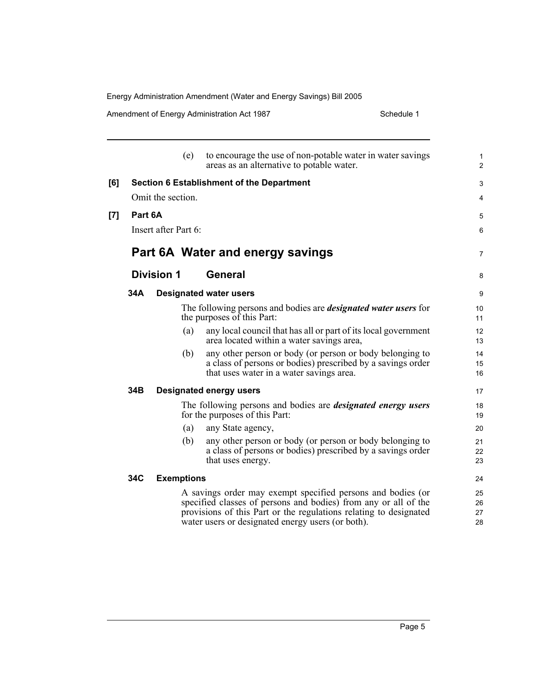| Amendment of Energy Administration Act 1987 | Schedule 1 |
|---------------------------------------------|------------|
|                                             |            |

|       |         |                      | (e)               | to encourage the use of non-potable water in water savings<br>areas as an alternative to potable water.                                                                                                                                                  | 1<br>$\overline{c}$  |
|-------|---------|----------------------|-------------------|----------------------------------------------------------------------------------------------------------------------------------------------------------------------------------------------------------------------------------------------------------|----------------------|
| [6]   |         |                      |                   | <b>Section 6 Establishment of the Department</b>                                                                                                                                                                                                         | 3                    |
|       |         | Omit the section.    |                   |                                                                                                                                                                                                                                                          | 4                    |
| $[7]$ | Part 6A |                      |                   |                                                                                                                                                                                                                                                          | 5                    |
|       |         | Insert after Part 6: |                   |                                                                                                                                                                                                                                                          | 6                    |
|       |         |                      |                   | Part 6A Water and energy savings                                                                                                                                                                                                                         | 7                    |
|       |         | <b>Division 1</b>    |                   | General                                                                                                                                                                                                                                                  | 8                    |
|       | 34A     |                      |                   | <b>Designated water users</b>                                                                                                                                                                                                                            | 9                    |
|       |         |                      |                   | The following persons and bodies are <i>designated water users</i> for<br>the purposes of this Part:                                                                                                                                                     | 10<br>11             |
|       |         |                      | (a)               | any local council that has all or part of its local government<br>area located within a water savings area,                                                                                                                                              | 12<br>13             |
|       |         |                      | (b)               | any other person or body (or person or body belonging to<br>a class of persons or bodies) prescribed by a savings order<br>that uses water in a water savings area.                                                                                      | 14<br>15<br>16       |
|       | 34B     |                      |                   | <b>Designated energy users</b>                                                                                                                                                                                                                           | 17                   |
|       |         |                      |                   | The following persons and bodies are <i>designated energy users</i><br>for the purposes of this Part:                                                                                                                                                    | 18<br>19             |
|       |         |                      | (a)               | any State agency,                                                                                                                                                                                                                                        | 20                   |
|       |         |                      | (b)               | any other person or body (or person or body belonging to<br>a class of persons or bodies) prescribed by a savings order<br>that uses energy.                                                                                                             | 21<br>22<br>23       |
|       | 34C     |                      | <b>Exemptions</b> |                                                                                                                                                                                                                                                          | 24                   |
|       |         |                      |                   | A savings order may exempt specified persons and bodies (or<br>specified classes of persons and bodies) from any or all of the<br>provisions of this Part or the regulations relating to designated<br>water users or designated energy users (or both). | 25<br>26<br>27<br>28 |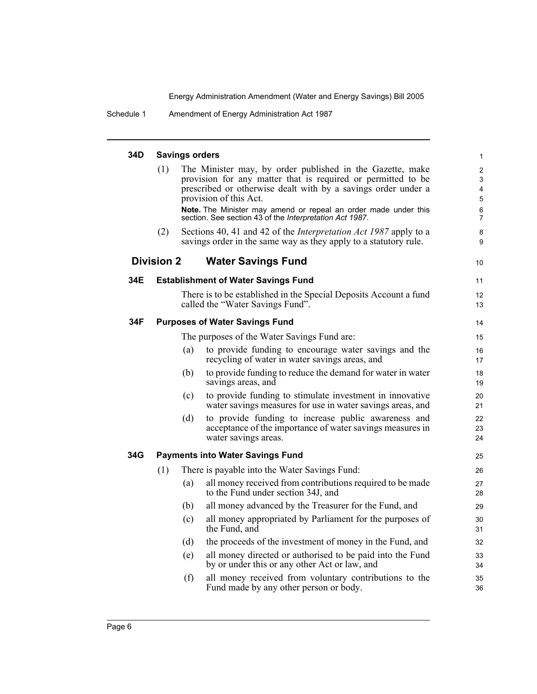Schedule 1 Amendment of Energy Administration Act 1987

### **34D Savings orders**

| 34D | <b>Savings orders</b> |     |                                                                                                                                                                                                                      |                       |  |  |
|-----|-----------------------|-----|----------------------------------------------------------------------------------------------------------------------------------------------------------------------------------------------------------------------|-----------------------|--|--|
|     | (1)                   |     | The Minister may, by order published in the Gazette, make<br>provision for any matter that is required or permitted to be<br>prescribed or otherwise dealt with by a savings order under a<br>provision of this Act. | 2<br>3<br>4<br>5      |  |  |
|     |                       |     | Note. The Minister may amend or repeal an order made under this<br>section. See section 43 of the Interpretation Act 1987.                                                                                           | 6<br>7                |  |  |
|     | (2)                   |     | Sections 40, 41 and 42 of the <i>Interpretation Act 1987</i> apply to a<br>savings order in the same way as they apply to a statutory rule.                                                                          | 8<br>9                |  |  |
|     | <b>Division 2</b>     |     | <b>Water Savings Fund</b>                                                                                                                                                                                            | 10                    |  |  |
| 34E |                       |     | <b>Establishment of Water Savings Fund</b>                                                                                                                                                                           | 11                    |  |  |
|     |                       |     | There is to be established in the Special Deposits Account a fund<br>called the "Water Savings Fund".                                                                                                                | 12 <sup>2</sup><br>13 |  |  |
| 34F |                       |     | <b>Purposes of Water Savings Fund</b>                                                                                                                                                                                | 14                    |  |  |
|     |                       |     | The purposes of the Water Savings Fund are:                                                                                                                                                                          | 15                    |  |  |
|     |                       | (a) | to provide funding to encourage water savings and the<br>recycling of water in water savings areas, and                                                                                                              | 16<br>17              |  |  |
|     |                       | (b) | to provide funding to reduce the demand for water in water<br>savings areas, and                                                                                                                                     | 18<br>19              |  |  |
|     |                       | (c) | to provide funding to stimulate investment in innovative<br>water savings measures for use in water savings areas, and                                                                                               | 20<br>21              |  |  |
|     |                       | (d) | to provide funding to increase public awareness and<br>acceptance of the importance of water savings measures in<br>water savings areas.                                                                             | 22<br>23<br>24        |  |  |
| 34G |                       |     | <b>Payments into Water Savings Fund</b>                                                                                                                                                                              | 25                    |  |  |
|     | (1)                   |     | There is payable into the Water Savings Fund:                                                                                                                                                                        | 26                    |  |  |
|     |                       | (a) | all money received from contributions required to be made<br>to the Fund under section 34J, and                                                                                                                      | 27<br>28              |  |  |
|     |                       | (b) | all money advanced by the Treasurer for the Fund, and                                                                                                                                                                | 29                    |  |  |
|     |                       | (c) | all money appropriated by Parliament for the purposes of<br>the Fund, and                                                                                                                                            | 30<br>31              |  |  |
|     |                       | (d) | the proceeds of the investment of money in the Fund, and                                                                                                                                                             | 32                    |  |  |
|     |                       | (e) | all money directed or authorised to be paid into the Fund<br>by or under this or any other Act or law, and                                                                                                           | 33<br>34              |  |  |
|     |                       | (f) | all money received from voluntary contributions to the<br>Fund made by any other person or body.                                                                                                                     | 35<br>36              |  |  |
|     |                       |     |                                                                                                                                                                                                                      |                       |  |  |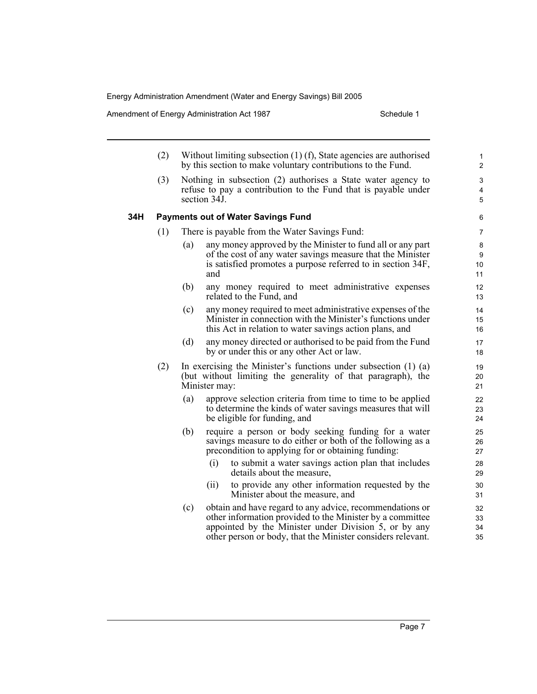Amendment of Energy Administration Act 1987 Material Contract Schedule 1

|     | (2) |                                               | Without limiting subsection $(1)$ $(f)$ , State agencies are authorised<br>by this section to make voluntary contributions to the Fund.                                                                                                       | 1<br>$\overline{\mathbf{c}}$ |  |  |
|-----|-----|-----------------------------------------------|-----------------------------------------------------------------------------------------------------------------------------------------------------------------------------------------------------------------------------------------------|------------------------------|--|--|
|     | (3) |                                               | Nothing in subsection (2) authorises a State water agency to<br>refuse to pay a contribution to the Fund that is payable under<br>section 34J.                                                                                                | 3<br>4<br>5                  |  |  |
| 34H |     |                                               | <b>Payments out of Water Savings Fund</b>                                                                                                                                                                                                     | 6                            |  |  |
|     | (1) | There is payable from the Water Savings Fund: |                                                                                                                                                                                                                                               |                              |  |  |
|     |     | (a)                                           | any money approved by the Minister to fund all or any part<br>of the cost of any water savings measure that the Minister<br>is satisfied promotes a purpose referred to in section 34F,<br>and                                                | 8<br>9<br>10<br>11           |  |  |
|     |     | (b)                                           | any money required to meet administrative expenses<br>related to the Fund, and                                                                                                                                                                | 12<br>13                     |  |  |
|     |     | (c)                                           | any money required to meet administrative expenses of the<br>Minister in connection with the Minister's functions under<br>this Act in relation to water savings action plans, and                                                            | 14<br>15<br>16               |  |  |
|     |     | (d)                                           | any money directed or authorised to be paid from the Fund<br>by or under this or any other Act or law.                                                                                                                                        | 17<br>18                     |  |  |
|     | (2) |                                               | In exercising the Minister's functions under subsection $(1)$ $(a)$<br>(but without limiting the generality of that paragraph), the<br>Minister may:                                                                                          | 19<br>20<br>21               |  |  |
|     |     | (a)                                           | approve selection criteria from time to time to be applied<br>to determine the kinds of water savings measures that will<br>be eligible for funding, and                                                                                      | 22<br>23<br>24               |  |  |
|     |     | (b)                                           | require a person or body seeking funding for a water<br>savings measure to do either or both of the following as a<br>precondition to applying for or obtaining funding:                                                                      | 25<br>26<br>27               |  |  |
|     |     |                                               | to submit a water savings action plan that includes<br>(i)<br>details about the measure,                                                                                                                                                      | 28<br>29                     |  |  |
|     |     |                                               | (ii)<br>to provide any other information requested by the<br>Minister about the measure, and                                                                                                                                                  | 30<br>31                     |  |  |
|     |     | (c)                                           | obtain and have regard to any advice, recommendations or<br>other information provided to the Minister by a committee<br>appointed by the Minister under Division 5, or by any<br>other person or body, that the Minister considers relevant. | 32<br>33<br>34<br>35         |  |  |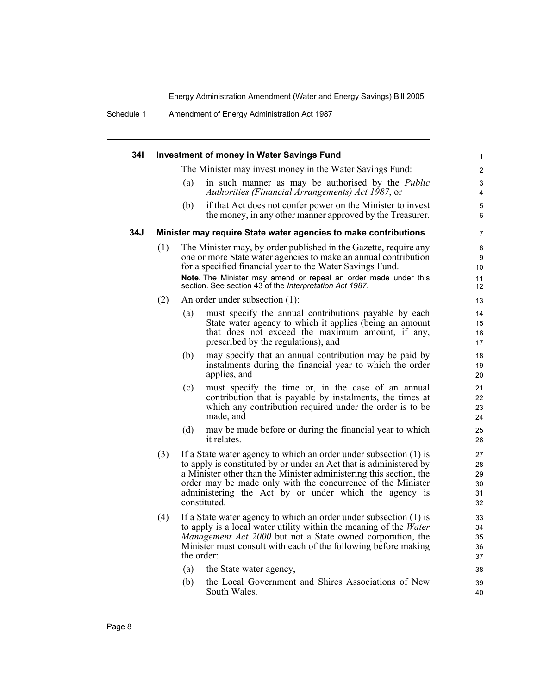|     | <b>Investment of money in Water Savings Fund</b>                                                                                                                                                                                                                                                                                                      | $\mathbf{1}$                                                    |
|-----|-------------------------------------------------------------------------------------------------------------------------------------------------------------------------------------------------------------------------------------------------------------------------------------------------------------------------------------------------------|-----------------------------------------------------------------|
|     | The Minister may invest money in the Water Savings Fund:                                                                                                                                                                                                                                                                                              | $\overline{2}$                                                  |
|     | in such manner as may be authorised by the <i>Public</i><br>(a)<br>Authorities (Financial Arrangements) Act 1987, or                                                                                                                                                                                                                                  | 3<br>4                                                          |
|     | if that Act does not confer power on the Minister to invest<br>(b)<br>the money, in any other manner approved by the Treasurer.                                                                                                                                                                                                                       | 5<br>6                                                          |
|     |                                                                                                                                                                                                                                                                                                                                                       | $\overline{7}$                                                  |
| (1) | The Minister may, by order published in the Gazette, require any<br>one or more State water agencies to make an annual contribution<br>for a specified financial year to the Water Savings Fund.<br>Note. The Minister may amend or repeal an order made under this<br>section. See section 43 of the Interpretation Act 1987.                        | 8<br>9<br>10<br>11<br>12                                        |
| (2) | An order under subsection (1):                                                                                                                                                                                                                                                                                                                        | 13                                                              |
|     | must specify the annual contributions payable by each<br>(a)<br>State water agency to which it applies (being an amount<br>that does not exceed the maximum amount, if any,<br>prescribed by the regulations), and                                                                                                                                    | 14<br>15<br>16<br>17                                            |
|     | (b)<br>may specify that an annual contribution may be paid by<br>instalments during the financial year to which the order<br>applies, and                                                                                                                                                                                                             | 18<br>19<br>20                                                  |
|     | must specify the time or, in the case of an annual<br>(c)<br>contribution that is payable by instalments, the times at<br>which any contribution required under the order is to be<br>made, and                                                                                                                                                       | 21<br>22<br>23<br>24                                            |
|     | (d)<br>may be made before or during the financial year to which<br>it relates.                                                                                                                                                                                                                                                                        | 25<br>26                                                        |
| (3) | If a State water agency to which an order under subsection (1) is<br>to apply is constituted by or under an Act that is administered by<br>a Minister other than the Minister administering this section, the<br>order may be made only with the concurrence of the Minister<br>administering the Act by or under which the agency is<br>constituted. | 27<br>28<br>29<br>30<br>31<br>32                                |
| (4) | If a State water agency to which an order under subsection (1) is<br>to apply is a local water utility within the meaning of the <i>Water</i><br>Management Act 2000 but not a State owned corporation, the<br>Minister must consult with each of the following before making<br>the order:                                                           | 33<br>34<br>35<br>36<br>37                                      |
|     | (a)<br>the State water agency,                                                                                                                                                                                                                                                                                                                        | 38                                                              |
|     | the Local Government and Shires Associations of New<br>(b)<br>South Wales.                                                                                                                                                                                                                                                                            | 39<br>40                                                        |
|     |                                                                                                                                                                                                                                                                                                                                                       | Minister may require State water agencies to make contributions |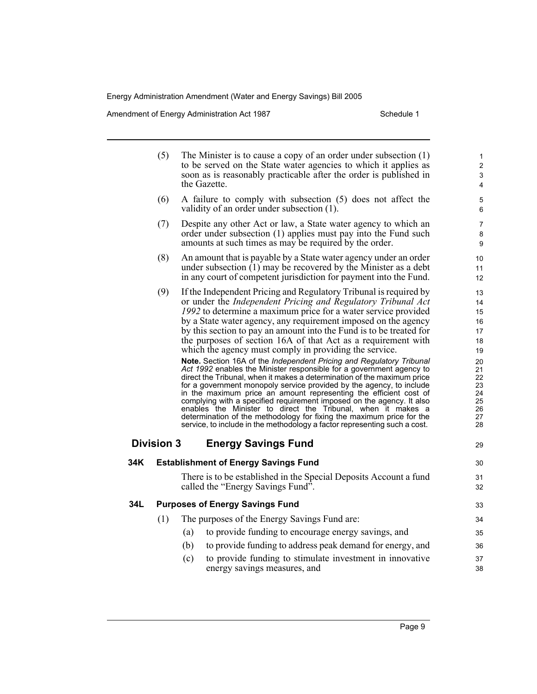Amendment of Energy Administration Act 1987 Material Contract Schedule 1

|     | (5)               | The Minister is to cause a copy of an order under subsection $(1)$<br>to be served on the State water agencies to which it applies as<br>soon as is reasonably practicable after the order is published in<br>the Gazette.                                                                                                                                                                                                                                                                                                                                                                                                                                                                                                                                                                                                                                                                                                                                                                                                                                                                                                                     | 1<br>$\overline{2}$<br>3<br>$\overline{\mathbf{4}}$                                          |
|-----|-------------------|------------------------------------------------------------------------------------------------------------------------------------------------------------------------------------------------------------------------------------------------------------------------------------------------------------------------------------------------------------------------------------------------------------------------------------------------------------------------------------------------------------------------------------------------------------------------------------------------------------------------------------------------------------------------------------------------------------------------------------------------------------------------------------------------------------------------------------------------------------------------------------------------------------------------------------------------------------------------------------------------------------------------------------------------------------------------------------------------------------------------------------------------|----------------------------------------------------------------------------------------------|
|     | (6)               | A failure to comply with subsection (5) does not affect the<br>validity of an order under subsection (1).                                                                                                                                                                                                                                                                                                                                                                                                                                                                                                                                                                                                                                                                                                                                                                                                                                                                                                                                                                                                                                      | $\mathbf 5$<br>6                                                                             |
|     | (7)               | Despite any other Act or law, a State water agency to which an<br>order under subsection (1) applies must pay into the Fund such<br>amounts at such times as may be required by the order.                                                                                                                                                                                                                                                                                                                                                                                                                                                                                                                                                                                                                                                                                                                                                                                                                                                                                                                                                     | $\boldsymbol{7}$<br>8<br>9                                                                   |
|     | (8)               | An amount that is payable by a State water agency under an order<br>under subsection (1) may be recovered by the Minister as a debt<br>in any court of competent jurisdiction for payment into the Fund.                                                                                                                                                                                                                                                                                                                                                                                                                                                                                                                                                                                                                                                                                                                                                                                                                                                                                                                                       | 10<br>11<br>12 <sup>2</sup>                                                                  |
|     | (9)               | If the Independent Pricing and Regulatory Tribunal is required by<br>or under the Independent Pricing and Regulatory Tribunal Act<br>1992 to determine a maximum price for a water service provided<br>by a State water agency, any requirement imposed on the agency<br>by this section to pay an amount into the Fund is to be treated for<br>the purposes of section 16A of that Act as a requirement with<br>which the agency must comply in providing the service.<br>Note. Section 16A of the Independent Pricing and Regulatory Tribunal<br>Act 1992 enables the Minister responsible for a government agency to<br>direct the Tribunal, when it makes a determination of the maximum price<br>for a government monopoly service provided by the agency, to include<br>in the maximum price an amount representing the efficient cost of<br>complying with a specified requirement imposed on the agency. It also<br>enables the Minister to direct the Tribunal, when it makes a<br>determination of the methodology for fixing the maximum price for the<br>service, to include in the methodology a factor representing such a cost. | 13<br>14<br>15<br>16<br>17<br>18<br>19<br>20<br>21<br>22<br>23<br>24<br>25<br>26<br>27<br>28 |
|     | <b>Division 3</b> | <b>Energy Savings Fund</b>                                                                                                                                                                                                                                                                                                                                                                                                                                                                                                                                                                                                                                                                                                                                                                                                                                                                                                                                                                                                                                                                                                                     | 29                                                                                           |
| 34K |                   | <b>Establishment of Energy Savings Fund</b>                                                                                                                                                                                                                                                                                                                                                                                                                                                                                                                                                                                                                                                                                                                                                                                                                                                                                                                                                                                                                                                                                                    | 30                                                                                           |
|     |                   | There is to be established in the Special Deposits Account a fund<br>called the "Energy Savings Fund".                                                                                                                                                                                                                                                                                                                                                                                                                                                                                                                                                                                                                                                                                                                                                                                                                                                                                                                                                                                                                                         | 31<br>32                                                                                     |
| 34L |                   | <b>Purposes of Energy Savings Fund</b>                                                                                                                                                                                                                                                                                                                                                                                                                                                                                                                                                                                                                                                                                                                                                                                                                                                                                                                                                                                                                                                                                                         | 33                                                                                           |
|     | (1)               | The purposes of the Energy Savings Fund are:                                                                                                                                                                                                                                                                                                                                                                                                                                                                                                                                                                                                                                                                                                                                                                                                                                                                                                                                                                                                                                                                                                   | 34                                                                                           |
|     |                   | (a)<br>to provide funding to encourage energy savings, and                                                                                                                                                                                                                                                                                                                                                                                                                                                                                                                                                                                                                                                                                                                                                                                                                                                                                                                                                                                                                                                                                     | 35                                                                                           |
|     |                   | (b)<br>to provide funding to address peak demand for energy, and                                                                                                                                                                                                                                                                                                                                                                                                                                                                                                                                                                                                                                                                                                                                                                                                                                                                                                                                                                                                                                                                               | 36                                                                                           |

(c) to provide funding to stimulate investment in innovative energy savings measures, and

37 38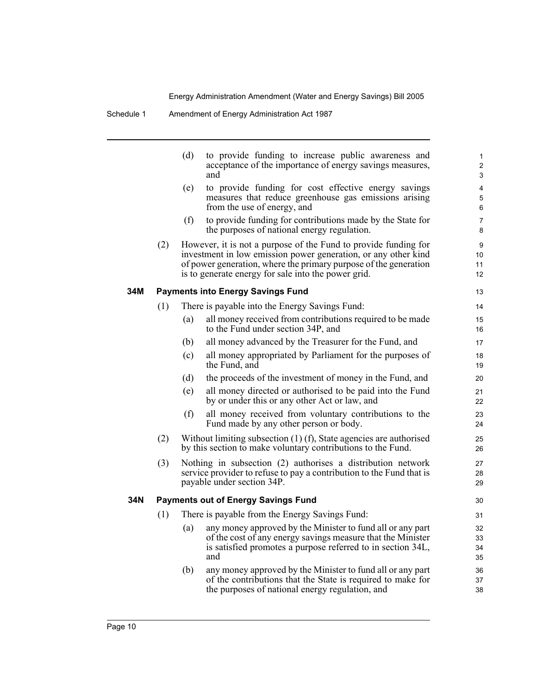|     |     | (d) | to provide funding to increase public awareness and<br>acceptance of the importance of energy savings measures,<br>and                                                                                                                                       | 1<br>$\overline{c}$<br>3 |
|-----|-----|-----|--------------------------------------------------------------------------------------------------------------------------------------------------------------------------------------------------------------------------------------------------------------|--------------------------|
|     |     | (e) | to provide funding for cost effective energy savings<br>measures that reduce greenhouse gas emissions arising<br>from the use of energy, and                                                                                                                 | 4<br>5<br>6              |
|     |     | (f) | to provide funding for contributions made by the State for<br>the purposes of national energy regulation.                                                                                                                                                    | 7<br>8                   |
|     | (2) |     | However, it is not a purpose of the Fund to provide funding for<br>investment in low emission power generation, or any other kind<br>of power generation, where the primary purpose of the generation<br>is to generate energy for sale into the power grid. | 9<br>10<br>11<br>12      |
| 34M |     |     | <b>Payments into Energy Savings Fund</b>                                                                                                                                                                                                                     | 13                       |
|     | (1) |     | There is payable into the Energy Savings Fund:                                                                                                                                                                                                               | 14                       |
|     |     | (a) | all money received from contributions required to be made<br>to the Fund under section 34P, and                                                                                                                                                              | 15<br>16                 |
|     |     | (b) | all money advanced by the Treasurer for the Fund, and                                                                                                                                                                                                        | 17                       |
|     |     | (c) | all money appropriated by Parliament for the purposes of<br>the Fund, and                                                                                                                                                                                    | 18<br>19                 |
|     |     | (d) | the proceeds of the investment of money in the Fund, and                                                                                                                                                                                                     | 20                       |
|     |     | (e) | all money directed or authorised to be paid into the Fund<br>by or under this or any other Act or law, and                                                                                                                                                   | 21<br>22                 |
|     |     | (f) | all money received from voluntary contributions to the<br>Fund made by any other person or body.                                                                                                                                                             | 23<br>24                 |
|     | (2) |     | Without limiting subsection $(1)$ (f), State agencies are authorised<br>by this section to make voluntary contributions to the Fund.                                                                                                                         | 25<br>26                 |
|     | (3) |     | Nothing in subsection (2) authorises a distribution network<br>service provider to refuse to pay a contribution to the Fund that is<br>payable under section 34P.                                                                                            | 27<br>28<br>29           |
| 34N |     |     | <b>Payments out of Energy Savings Fund</b>                                                                                                                                                                                                                   | 30                       |
|     | (1) |     | There is payable from the Energy Savings Fund:                                                                                                                                                                                                               | 31                       |
|     |     | (a) | any money approved by the Minister to fund all or any part<br>of the cost of any energy savings measure that the Minister<br>is satisfied promotes a purpose referred to in section 34L,<br>and                                                              | 32<br>33<br>34<br>35     |
|     |     | (b) | any money approved by the Minister to fund all or any part<br>of the contributions that the State is required to make for<br>the purposes of national energy regulation, and                                                                                 | 36<br>37<br>38           |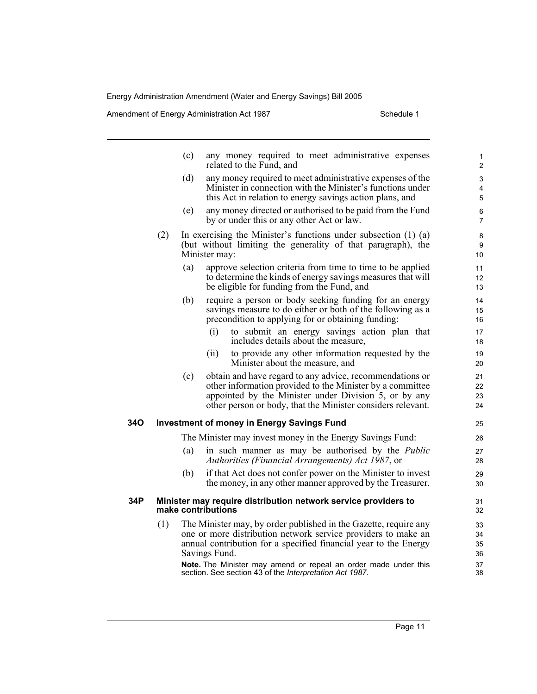Amendment of Energy Administration Act 1987 Material Contract Schedule 1

|     |     | (c) | any money required to meet administrative expenses<br>related to the Fund, and                                                                                                                                                                | $\mathbf{1}$<br>2    |
|-----|-----|-----|-----------------------------------------------------------------------------------------------------------------------------------------------------------------------------------------------------------------------------------------------|----------------------|
|     |     | (d) | any money required to meet administrative expenses of the<br>Minister in connection with the Minister's functions under<br>this Act in relation to energy savings action plans, and                                                           | 3<br>4<br>5          |
|     |     | (e) | any money directed or authorised to be paid from the Fund<br>by or under this or any other Act or law.                                                                                                                                        | 6<br>$\overline{7}$  |
|     | (2) |     | In exercising the Minister's functions under subsection $(1)$ $(a)$<br>(but without limiting the generality of that paragraph), the<br>Minister may:                                                                                          | 8<br>9<br>10         |
|     |     | (a) | approve selection criteria from time to time to be applied<br>to determine the kinds of energy savings measures that will<br>be eligible for funding from the Fund, and                                                                       | 11<br>12<br>13       |
|     |     | (b) | require a person or body seeking funding for an energy<br>savings measure to do either or both of the following as a<br>precondition to applying for or obtaining funding:                                                                    | 14<br>15<br>16       |
|     |     |     | to submit an energy savings action plan that<br>(i)<br>includes details about the measure,                                                                                                                                                    | 17<br>18             |
|     |     |     | to provide any other information requested by the<br>(ii)<br>Minister about the measure, and                                                                                                                                                  | 19<br>20             |
|     |     | (c) | obtain and have regard to any advice, recommendations or<br>other information provided to the Minister by a committee<br>appointed by the Minister under Division 5, or by any<br>other person or body, that the Minister considers relevant. | 21<br>22<br>23<br>24 |
| 34O |     |     | <b>Investment of money in Energy Savings Fund</b>                                                                                                                                                                                             | 25                   |
|     |     |     | The Minister may invest money in the Energy Savings Fund:                                                                                                                                                                                     | 26                   |
|     |     | (a) | in such manner as may be authorised by the Public<br>Authorities (Financial Arrangements) Act 1987, or                                                                                                                                        | 27<br>28             |
|     |     | (b) | if that Act does not confer power on the Minister to invest<br>the money, in any other manner approved by the Treasurer.                                                                                                                      | 29<br>30             |
| 34P |     |     | Minister may require distribution network service providers to<br>make contributions                                                                                                                                                          | 31<br>32             |
|     | (1) |     | The Minister may, by order published in the Gazette, require any<br>one or more distribution network service providers to make an<br>annual contribution for a specified financial year to the Energy<br>Savings Fund.                        | 33<br>34<br>35<br>36 |
|     |     |     | Note. The Minister may amend or repeal an order made under this<br>section. See section 43 of the Interpretation Act 1987.                                                                                                                    | 37<br>38             |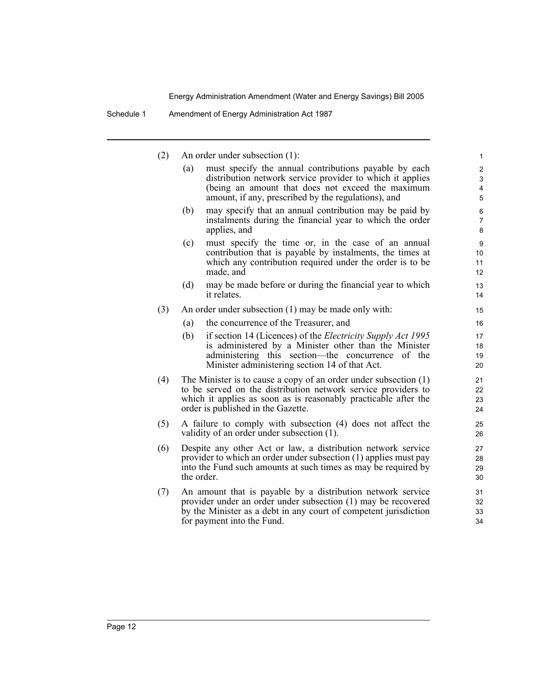#### Schedule 1 Amendment of Energy Administration Act 1987

- (2) An order under subsection (1):
	- (a) must specify the annual contributions payable by each distribution network service provider to which it applies (being an amount that does not exceed the maximum amount, if any, prescribed by the regulations), and

- (b) may specify that an annual contribution may be paid by instalments during the financial year to which the order applies, and
- (c) must specify the time or, in the case of an annual contribution that is payable by instalments, the times at which any contribution required under the order is to be made, and
- (d) may be made before or during the financial year to which it relates.
- (3) An order under subsection (1) may be made only with:
	- (a) the concurrence of the Treasurer, and
	- (b) if section 14 (Licences) of the *Electricity Supply Act 1995* is administered by a Minister other than the Minister administering this section—the concurrence of the Minister administering section 14 of that Act.
- (4) The Minister is to cause a copy of an order under subsection (1) to be served on the distribution network service providers to which it applies as soon as is reasonably practicable after the order is published in the Gazette.
- (5) A failure to comply with subsection (4) does not affect the validity of an order under subsection (1).
- (6) Despite any other Act or law, a distribution network service provider to which an order under subsection (1) applies must pay into the Fund such amounts at such times as may be required by the order.
- (7) An amount that is payable by a distribution network service provider under an order under subsection (1) may be recovered by the Minister as a debt in any court of competent jurisdiction for payment into the Fund.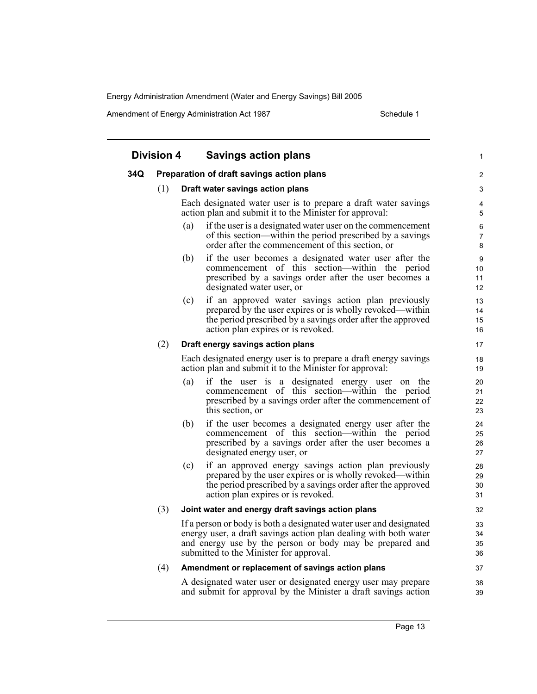Amendment of Energy Administration Act 1987 Material Contract Schedule 1

| <b>Division 4</b> |     | <b>Savings action plans</b>                                                                                                                                                                                                                   | 1                        |
|-------------------|-----|-----------------------------------------------------------------------------------------------------------------------------------------------------------------------------------------------------------------------------------------------|--------------------------|
| 34Q               |     | Preparation of draft savings action plans                                                                                                                                                                                                     | 2                        |
|                   | (1) | Draft water savings action plans                                                                                                                                                                                                              | 3                        |
|                   |     | Each designated water user is to prepare a draft water savings<br>action plan and submit it to the Minister for approval:                                                                                                                     | 4<br>5                   |
|                   |     | if the user is a designated water user on the commencement<br>(a)<br>of this section—within the period prescribed by a savings<br>order after the commencement of this section, or                                                            | 6<br>$\overline{7}$<br>8 |
|                   |     | if the user becomes a designated water user after the<br>(b)<br>commencement of this section—within the period<br>prescribed by a savings order after the user becomes a<br>designated water user, or                                         | 9<br>10<br>11<br>12      |
|                   |     | if an approved water savings action plan previously<br>(c)<br>prepared by the user expires or is wholly revoked—within<br>the period prescribed by a savings order after the approved<br>action plan expires or is revoked.                   | 13<br>14<br>15<br>16     |
|                   | (2) | Draft energy savings action plans                                                                                                                                                                                                             | 17                       |
|                   |     | Each designated energy user is to prepare a draft energy savings<br>action plan and submit it to the Minister for approval:                                                                                                                   | 18<br>19                 |
|                   |     | if the user is a designated energy user on the<br>(a)<br>commencement of this section—within the period<br>prescribed by a savings order after the commencement of<br>this section, or                                                        | 20<br>21<br>22<br>23     |
|                   |     | (b)<br>if the user becomes a designated energy user after the<br>commencement of this section—within the period<br>prescribed by a savings order after the user becomes a<br>designated energy user, or                                       | 24<br>25<br>26<br>27     |
|                   |     | (c)<br>if an approved energy savings action plan previously<br>prepared by the user expires or is wholly revoked—within<br>the period prescribed by a savings order after the approved<br>action plan expires or is revoked.                  | 28<br>29<br>30<br>31     |
|                   | (3) | Joint water and energy draft savings action plans                                                                                                                                                                                             | 32                       |
|                   |     | If a person or body is both a designated water user and designated<br>energy user, a draft savings action plan dealing with both water<br>and energy use by the person or body may be prepared and<br>submitted to the Minister for approval. | 33<br>34<br>35<br>36     |
|                   | (4) | Amendment or replacement of savings action plans                                                                                                                                                                                              | 37                       |
|                   |     | A designated water user or designated energy user may prepare<br>and submit for approval by the Minister a draft savings action                                                                                                               | 38<br>39                 |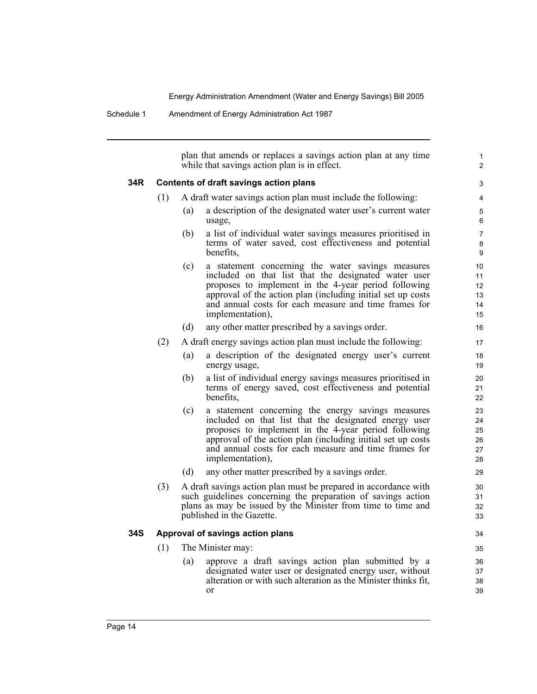Schedule 1 Amendment of Energy Administration Act 1987

plan that amends or replaces a savings action plan at any time while that savings action plan is in effect.

1  $\mathfrak{p}$ 

#### **34R Contents of draft savings action plans**

- (1) A draft water savings action plan must include the following:
	- (a) a description of the designated water user's current water usage,
	- (b) a list of individual water savings measures prioritised in terms of water saved, cost effectiveness and potential benefits,
	- (c) a statement concerning the water savings measures included on that list that the designated water user proposes to implement in the 4-year period following approval of the action plan (including initial set up costs and annual costs for each measure and time frames for implementation),
	- (d) any other matter prescribed by a savings order.
- (2) A draft energy savings action plan must include the following:
	- (a) a description of the designated energy user's current energy usage,
	- (b) a list of individual energy savings measures prioritised in terms of energy saved, cost effectiveness and potential benefits,
	- (c) a statement concerning the energy savings measures included on that list that the designated energy user proposes to implement in the 4-year period following approval of the action plan (including initial set up costs and annual costs for each measure and time frames for implementation),
	- (d) any other matter prescribed by a savings order.
- (3) A draft savings action plan must be prepared in accordance with such guidelines concerning the preparation of savings action plans as may be issued by the Minister from time to time and published in the Gazette.

#### **34S Approval of savings action plans**

- (1) The Minister may:
	- (a) approve a draft savings action plan submitted by a designated water user or designated energy user, without alteration or with such alteration as the Minister thinks fit, or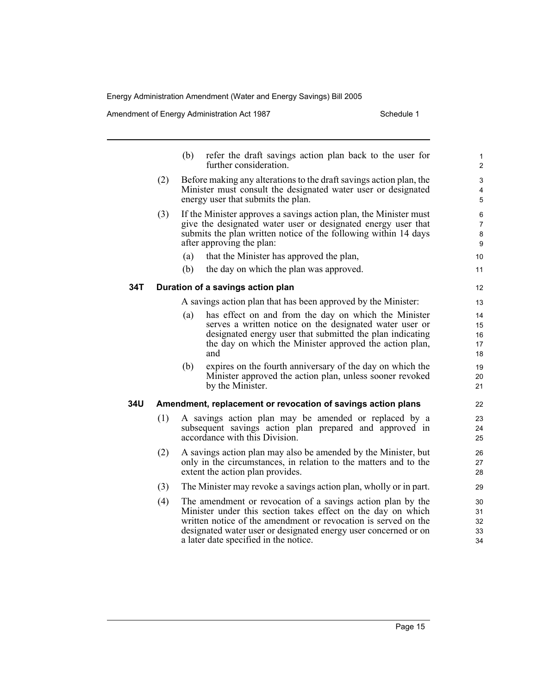Amendment of Energy Administration Act 1987 **Schedule 1** Schedule 1

- (b) refer the draft savings action plan back to the user for further consideration.
- (2) Before making any alterations to the draft savings action plan, the Minister must consult the designated water user or designated energy user that submits the plan.
- (3) If the Minister approves a savings action plan, the Minister must give the designated water user or designated energy user that submits the plan written notice of the following within 14 days after approving the plan:
	- (a) that the Minister has approved the plan,
	- (b) the day on which the plan was approved.

#### **34T Duration of a savings action plan**

A savings action plan that has been approved by the Minister:

- (a) has effect on and from the day on which the Minister serves a written notice on the designated water user or designated energy user that submitted the plan indicating the day on which the Minister approved the action plan, and
- (b) expires on the fourth anniversary of the day on which the Minister approved the action plan, unless sooner revoked by the Minister.

#### **34U Amendment, replacement or revocation of savings action plans**

- (1) A savings action plan may be amended or replaced by a subsequent savings action plan prepared and approved in accordance with this Division.
- (2) A savings action plan may also be amended by the Minister, but only in the circumstances, in relation to the matters and to the extent the action plan provides.
- (3) The Minister may revoke a savings action plan, wholly or in part.
- (4) The amendment or revocation of a savings action plan by the Minister under this section takes effect on the day on which written notice of the amendment or revocation is served on the designated water user or designated energy user concerned or on a later date specified in the notice.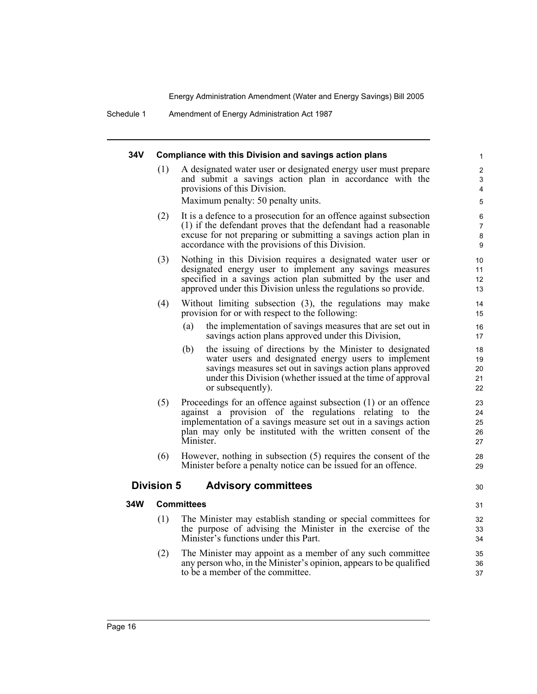| 34V               |     | <b>Compliance with this Division and savings action plans</b>                                                                                                                                                                                                            | 1                             |
|-------------------|-----|--------------------------------------------------------------------------------------------------------------------------------------------------------------------------------------------------------------------------------------------------------------------------|-------------------------------|
|                   | (1) | A designated water user or designated energy user must prepare<br>and submit a savings action plan in accordance with the<br>provisions of this Division.<br>Maximum penalty: 50 penalty units.                                                                          | 2<br>$\mathsf 3$<br>4<br>5    |
|                   | (2) | It is a defence to a prosecution for an offence against subsection<br>(1) if the defendant proves that the defendant had a reasonable<br>excuse for not preparing or submitting a savings action plan in<br>accordance with the provisions of this Division.             | 6<br>$\overline{7}$<br>8<br>9 |
|                   | (3) | Nothing in this Division requires a designated water user or<br>designated energy user to implement any savings measures<br>specified in a savings action plan submitted by the user and<br>approved under this Division unless the regulations so provide.              | 10<br>11<br>12<br>13          |
|                   | (4) | Without limiting subsection (3), the regulations may make<br>provision for or with respect to the following:                                                                                                                                                             | 14<br>15                      |
|                   |     | the implementation of savings measures that are set out in<br>(a)<br>savings action plans approved under this Division,                                                                                                                                                  | 16<br>17                      |
|                   |     | the issuing of directions by the Minister to designated<br>(b)<br>water users and designated energy users to implement<br>savings measures set out in savings action plans approved<br>under this Division (whether issued at the time of approval<br>or subsequently).  | 18<br>19<br>20<br>21<br>22    |
|                   | (5) | Proceedings for an offence against subsection (1) or an offence<br>against a provision of the regulations relating to the<br>implementation of a savings measure set out in a savings action<br>plan may only be instituted with the written consent of the<br>Minister. | 23<br>24<br>25<br>26<br>27    |
|                   | (6) | However, nothing in subsection (5) requires the consent of the<br>Minister before a penalty notice can be issued for an offence.                                                                                                                                         | 28<br>29                      |
| <b>Division 5</b> |     | <b>Advisory committees</b>                                                                                                                                                                                                                                               | 30                            |
| 34W               |     | <b>Committees</b>                                                                                                                                                                                                                                                        | 31                            |
|                   | (1) | The Minister may establish standing or special committees for<br>the purpose of advising the Minister in the exercise of the<br>Minister's functions under this Part.                                                                                                    | 32<br>33<br>34                |
|                   | (2) | The Minister may appoint as a member of any such committee<br>any person who, in the Minister's opinion, appears to be qualified<br>to be a member of the committee.                                                                                                     | 35<br>36<br>37                |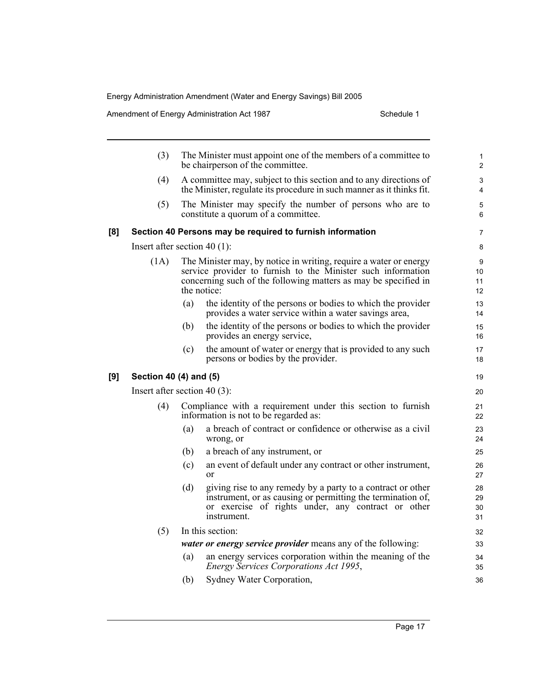Amendment of Energy Administration Act 1987 Material Contract Schedule 1

**[9] Section 40 (4) and (5)**

|     | (3)                             |     | The Minister must appoint one of the members of a committee to<br>be chairperson of the committee.                                                                                                                  | 1<br>2               |
|-----|---------------------------------|-----|---------------------------------------------------------------------------------------------------------------------------------------------------------------------------------------------------------------------|----------------------|
|     | (4)                             |     | A committee may, subject to this section and to any directions of<br>the Minister, regulate its procedure in such manner as it thinks fit.                                                                          | 3<br>$\overline{4}$  |
|     | (5)                             |     | The Minister may specify the number of persons who are to<br>constitute a quorum of a committee.                                                                                                                    | 5<br>6               |
| [8] |                                 |     | Section 40 Persons may be required to furnish information                                                                                                                                                           | 7                    |
|     | Insert after section 40 $(1)$ : |     |                                                                                                                                                                                                                     | 8                    |
|     | (1A)                            |     | The Minister may, by notice in writing, require a water or energy<br>service provider to furnish to the Minister such information<br>concerning such of the following matters as may be specified in<br>the notice: | 9<br>10<br>11<br>12  |
|     |                                 | (a) | the identity of the persons or bodies to which the provider<br>provides a water service within a water savings area,                                                                                                | 13<br>14             |
|     |                                 | (b) | the identity of the persons or bodies to which the provider<br>provides an energy service,                                                                                                                          | 15<br>16             |
|     |                                 | (c) | the amount of water or energy that is provided to any such<br>persons or bodies by the provider.                                                                                                                    | 17<br>18             |
| [9] | Section 40 (4) and (5)          |     |                                                                                                                                                                                                                     | 19                   |
|     | Insert after section 40 $(3)$ : |     |                                                                                                                                                                                                                     | 20                   |
|     | (4)                             |     | Compliance with a requirement under this section to furnish<br>information is not to be regarded as:                                                                                                                | 21<br>22             |
|     |                                 | (a) | a breach of contract or confidence or otherwise as a civil<br>wrong, or                                                                                                                                             | 23<br>24             |
|     |                                 | (b) | a breach of any instrument, or                                                                                                                                                                                      | 25                   |
|     |                                 | (c) | an event of default under any contract or other instrument,<br><sub>or</sub>                                                                                                                                        | 26<br>27             |
|     |                                 | (d) | giving rise to any remedy by a party to a contract or other<br>instrument, or as causing or permitting the termination of,<br>or exercise of rights under, any contract or other<br>instrument.                     | 28<br>29<br>30<br>31 |
|     | (5)                             |     | In this section:                                                                                                                                                                                                    | 32                   |
|     |                                 |     | <i>water or energy service provider</i> means any of the following:                                                                                                                                                 | 33                   |
|     |                                 | (a) | an energy services corporation within the meaning of the<br><b>Energy Services Corporations Act 1995,</b>                                                                                                           | 34<br>35             |
|     |                                 | (b) | Sydney Water Corporation,                                                                                                                                                                                           | 36                   |
|     |                                 |     |                                                                                                                                                                                                                     |                      |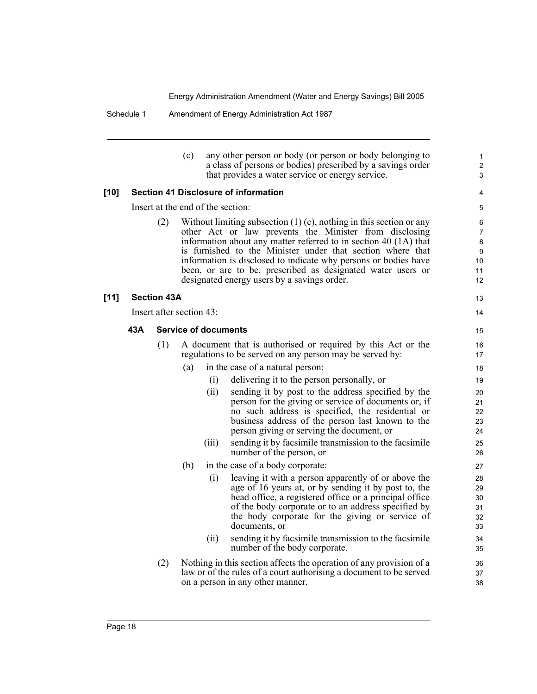|        |     |                          | (c) |                                   | any other person or body (or person or body belonging to<br>a class of persons or bodies) prescribed by a savings order<br>that provides a water service or energy service.                                                                                                                                                                                                                                                                        | $\mathbf{1}$<br>2<br>3                          |
|--------|-----|--------------------------|-----|-----------------------------------|----------------------------------------------------------------------------------------------------------------------------------------------------------------------------------------------------------------------------------------------------------------------------------------------------------------------------------------------------------------------------------------------------------------------------------------------------|-------------------------------------------------|
| $[10]$ |     |                          |     |                                   | <b>Section 41 Disclosure of information</b>                                                                                                                                                                                                                                                                                                                                                                                                        | 4                                               |
|        |     |                          |     | Insert at the end of the section: |                                                                                                                                                                                                                                                                                                                                                                                                                                                    | 5                                               |
|        |     | (2)                      |     |                                   | Without limiting subsection $(1)$ (c), nothing in this section or any<br>other Act or law prevents the Minister from disclosing<br>information about any matter referred to in section 40 (1A) that<br>is furnished to the Minister under that section where that<br>information is disclosed to indicate why persons or bodies have<br>been, or are to be, prescribed as designated water users or<br>designated energy users by a savings order. | 6<br>$\overline{7}$<br>8<br>9<br>10<br>11<br>12 |
| $[11]$ |     | <b>Section 43A</b>       |     |                                   |                                                                                                                                                                                                                                                                                                                                                                                                                                                    | 13                                              |
|        |     | Insert after section 43: |     |                                   |                                                                                                                                                                                                                                                                                                                                                                                                                                                    | 14                                              |
|        | 43A |                          |     | <b>Service of documents</b>       |                                                                                                                                                                                                                                                                                                                                                                                                                                                    | 15                                              |
|        |     | (1)                      |     |                                   | A document that is authorised or required by this Act or the<br>regulations to be served on any person may be served by:                                                                                                                                                                                                                                                                                                                           | 16<br>17                                        |
|        |     |                          | (a) |                                   | in the case of a natural person:                                                                                                                                                                                                                                                                                                                                                                                                                   | 18                                              |
|        |     |                          |     | (i)                               | delivering it to the person personally, or                                                                                                                                                                                                                                                                                                                                                                                                         | 19                                              |
|        |     |                          |     | (ii)<br>(111)                     | sending it by post to the address specified by the<br>person for the giving or service of documents or, if<br>no such address is specified, the residential or<br>business address of the person last known to the<br>person giving or serving the document, or<br>sending it by facsimile transmission to the facsimile<br>number of the person, or                                                                                               | 20<br>21<br>22<br>23<br>24<br>25<br>26          |
|        |     |                          | (b) |                                   | in the case of a body corporate:                                                                                                                                                                                                                                                                                                                                                                                                                   | 27                                              |
|        |     |                          |     | (i)                               | leaving it with a person apparently of or above the<br>age of 16 years at, or by sending it by post to, the<br>head office, a registered office or a principal office<br>of the body corporate or to an address specified by<br>the body corporate for the giving or service of<br>documents, or                                                                                                                                                   | 28<br>29<br>30<br>31<br>32<br>33                |
|        |     |                          |     | (ii)                              | sending it by facsimile transmission to the facsimile<br>number of the body corporate.                                                                                                                                                                                                                                                                                                                                                             | 34<br>35                                        |
|        |     | (2)                      |     |                                   | Nothing in this section affects the operation of any provision of a<br>law or of the rules of a court authorising a document to be served<br>on a person in any other manner.                                                                                                                                                                                                                                                                      | 36<br>37<br>38                                  |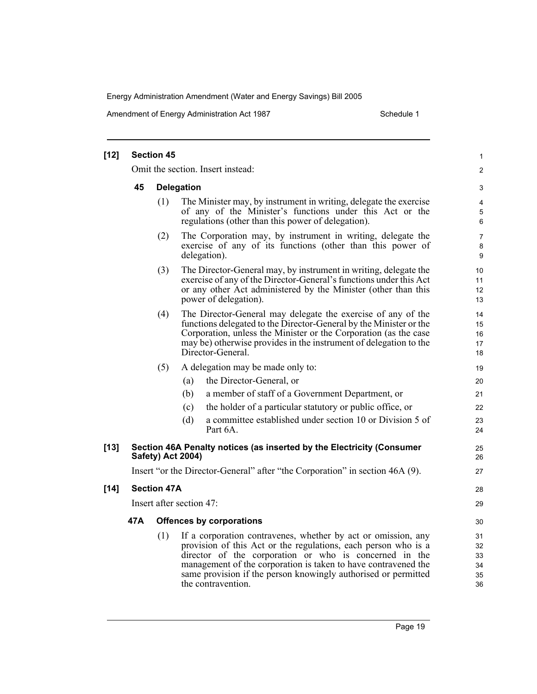Amendment of Energy Administration Act 1987 Material Contract Schedule 1

| $[12]$ |     | <b>Section 45</b>  |                                                                                                                                                                                                                                                                                                                                                     | 1                                |  |  |
|--------|-----|--------------------|-----------------------------------------------------------------------------------------------------------------------------------------------------------------------------------------------------------------------------------------------------------------------------------------------------------------------------------------------------|----------------------------------|--|--|
|        |     |                    | Omit the section. Insert instead:                                                                                                                                                                                                                                                                                                                   | 2                                |  |  |
|        | 45  | <b>Delegation</b>  |                                                                                                                                                                                                                                                                                                                                                     |                                  |  |  |
|        |     | (1)                | The Minister may, by instrument in writing, delegate the exercise<br>of any of the Minister's functions under this Act or the<br>regulations (other than this power of delegation).                                                                                                                                                                 | 4<br>5<br>6                      |  |  |
|        |     | (2)                | The Corporation may, by instrument in writing, delegate the<br>exercise of any of its functions (other than this power of<br>delegation).                                                                                                                                                                                                           | 7<br>8<br>9                      |  |  |
|        |     | (3)                | The Director-General may, by instrument in writing, delegate the<br>exercise of any of the Director-General's functions under this Act<br>or any other Act administered by the Minister (other than this<br>power of delegation).                                                                                                                   | 10<br>11<br>12<br>13             |  |  |
|        |     | (4)                | The Director-General may delegate the exercise of any of the<br>functions delegated to the Director-General by the Minister or the<br>Corporation, unless the Minister or the Corporation (as the case<br>may be) otherwise provides in the instrument of delegation to the<br>Director-General.                                                    | 14<br>15<br>16<br>17<br>18       |  |  |
|        |     | (5)                | A delegation may be made only to:                                                                                                                                                                                                                                                                                                                   | 19                               |  |  |
|        |     |                    | the Director-General, or<br>(a)                                                                                                                                                                                                                                                                                                                     | 20                               |  |  |
|        |     |                    | a member of staff of a Government Department, or<br>(b)                                                                                                                                                                                                                                                                                             | 21                               |  |  |
|        |     |                    | the holder of a particular statutory or public office, or<br>(c)                                                                                                                                                                                                                                                                                    | 22                               |  |  |
|        |     |                    | (d)<br>a committee established under section 10 or Division 5 of<br>Part 6A.                                                                                                                                                                                                                                                                        | 23<br>24                         |  |  |
| $[13]$ |     |                    | Section 46A Penalty notices (as inserted by the Electricity (Consumer<br>Safety) Act 2004)                                                                                                                                                                                                                                                          | 25<br>26                         |  |  |
|        |     |                    | Insert "or the Director-General" after "the Corporation" in section 46A (9).                                                                                                                                                                                                                                                                        | 27                               |  |  |
| $[14]$ |     | <b>Section 47A</b> |                                                                                                                                                                                                                                                                                                                                                     | 28                               |  |  |
|        |     |                    | Insert after section 47:                                                                                                                                                                                                                                                                                                                            | 29                               |  |  |
|        | 47A |                    | <b>Offences by corporations</b>                                                                                                                                                                                                                                                                                                                     | 30                               |  |  |
|        |     | (1)                | If a corporation contravenes, whether by act or omission, any<br>provision of this Act or the regulations, each person who is a<br>director of the corporation or who is concerned in the<br>management of the corporation is taken to have contravened the<br>same provision if the person knowingly authorised or permitted<br>the contravention. | 31<br>32<br>33<br>34<br>35<br>36 |  |  |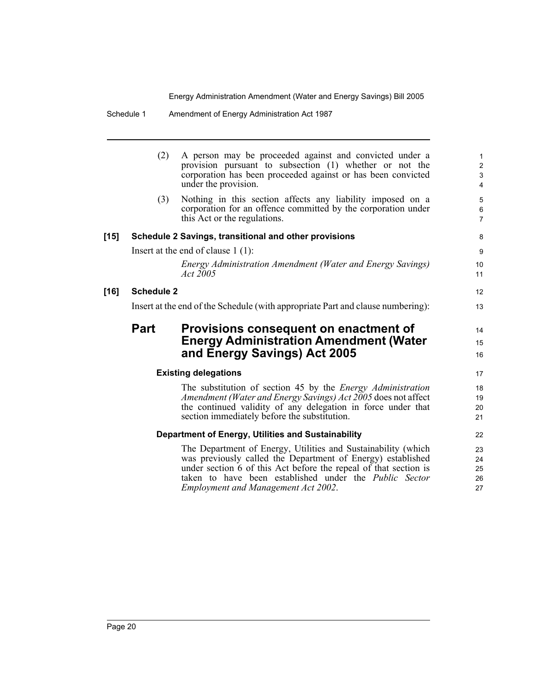|      | (2)               | A person may be proceeded against and convicted under a<br>provision pursuant to subsection (1) whether or not the<br>corporation has been proceeded against or has been convicted<br>under the provision.                                          | $\mathbf{1}$<br>$\overline{2}$<br>$\mathbf{3}$<br>4 |
|------|-------------------|-----------------------------------------------------------------------------------------------------------------------------------------------------------------------------------------------------------------------------------------------------|-----------------------------------------------------|
|      | (3)               | Nothing in this section affects any liability imposed on a<br>corporation for an offence committed by the corporation under<br>this Act or the regulations.                                                                                         | 5<br>$\,6\,$<br>$\overline{7}$                      |
| [15] |                   | Schedule 2 Savings, transitional and other provisions                                                                                                                                                                                               | 8                                                   |
|      |                   | Insert at the end of clause $1(1)$ :                                                                                                                                                                                                                | 9                                                   |
|      |                   | Energy Administration Amendment (Water and Energy Savings)<br>Act 2005                                                                                                                                                                              | 10 <sup>1</sup><br>11                               |
| [16] | <b>Schedule 2</b> |                                                                                                                                                                                                                                                     | 12                                                  |
|      |                   | Insert at the end of the Schedule (with appropriate Part and clause numbering):                                                                                                                                                                     | 13                                                  |
|      |                   |                                                                                                                                                                                                                                                     |                                                     |
|      | <b>Part</b>       | Provisions consequent on enactment of<br><b>Energy Administration Amendment (Water</b><br>and Energy Savings) Act 2005                                                                                                                              | 14<br>15<br>16                                      |
|      |                   | <b>Existing delegations</b>                                                                                                                                                                                                                         | 17                                                  |
|      |                   | The substitution of section 45 by the <i>Energy Administration</i><br>Amendment (Water and Energy Savings) Act 2005 does not affect<br>the continued validity of any delegation in force under that<br>section immediately before the substitution. | 18<br>19<br>20<br>21                                |
|      |                   | Department of Energy, Utilities and Sustainability                                                                                                                                                                                                  | 22                                                  |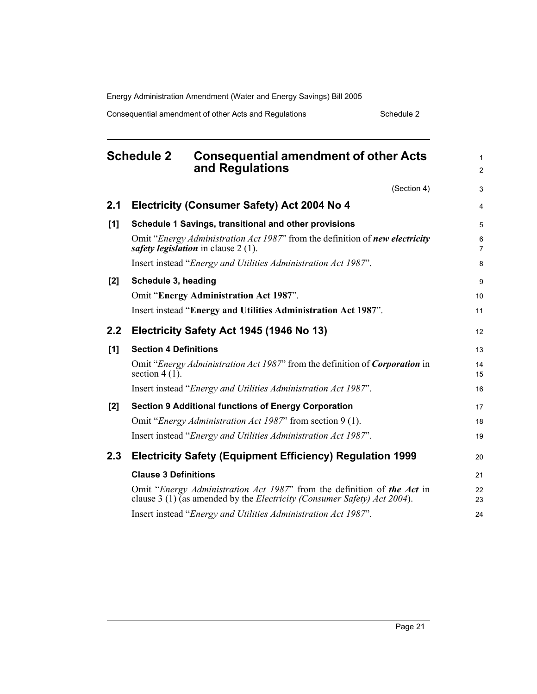Consequential amendment of other Acts and Regulations Schedule 2

|     | <b>Schedule 2</b><br><b>Consequential amendment of other Acts</b><br>and Regulations                                                                        | $\mathbf{1}$<br>2   |
|-----|-------------------------------------------------------------------------------------------------------------------------------------------------------------|---------------------|
|     | (Section 4)                                                                                                                                                 | 3                   |
| 2.1 | Electricity (Consumer Safety) Act 2004 No 4                                                                                                                 | 4                   |
| [1] | Schedule 1 Savings, transitional and other provisions                                                                                                       | 5                   |
|     | Omit "Energy Administration Act 1987" from the definition of new electricity<br><i>safety legislation</i> in clause 2 (1).                                  | 6<br>$\overline{7}$ |
|     | Insert instead "Energy and Utilities Administration Act 1987".                                                                                              | 8                   |
| [2] | Schedule 3, heading                                                                                                                                         | 9                   |
|     | Omit "Energy Administration Act 1987".                                                                                                                      | 10                  |
|     | Insert instead "Energy and Utilities Administration Act 1987".                                                                                              | 11                  |
| 2.2 | Electricity Safety Act 1945 (1946 No 13)                                                                                                                    | 12                  |
| [1] | <b>Section 4 Definitions</b>                                                                                                                                | 13                  |
|     | Omit "Energy Administration Act 1987" from the definition of Corporation in<br>section $4(1)$ .                                                             | 14<br>15            |
|     | Insert instead "Energy and Utilities Administration Act 1987".                                                                                              | 16                  |
| [2] | <b>Section 9 Additional functions of Energy Corporation</b>                                                                                                 | 17                  |
|     | Omit "Energy Administration Act 1987" from section 9 (1).                                                                                                   | 18                  |
|     | Insert instead "Energy and Utilities Administration Act 1987".                                                                                              | 19                  |
| 2.3 | <b>Electricity Safety (Equipment Efficiency) Regulation 1999</b>                                                                                            | 20                  |
|     | <b>Clause 3 Definitions</b>                                                                                                                                 | 21                  |
|     | Omit "Energy Administration Act 1987" from the definition of the Act in<br>clause 3 (1) (as amended by the <i>Electricity (Consumer Safety) Act 2004</i> ). | 22<br>23            |
|     | Insert instead "Energy and Utilities Administration Act 1987".                                                                                              | 24                  |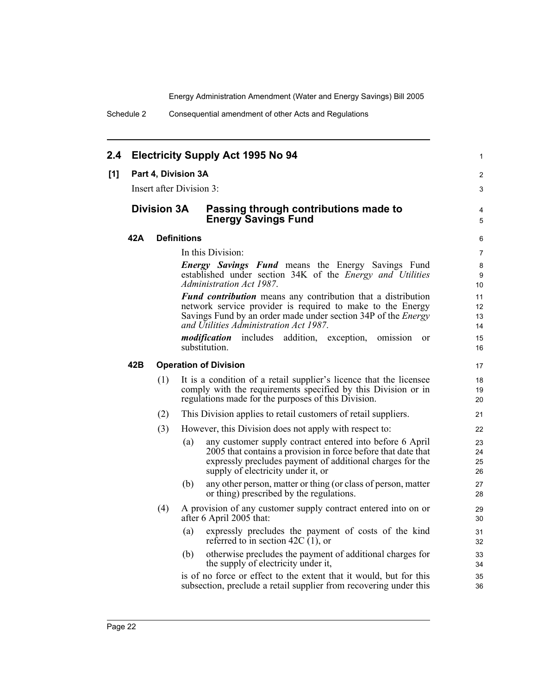Schedule 2 Consequential amendment of other Acts and Regulations

| 2.4 |                          |                     |                    | <b>Electricity Supply Act 1995 No 94</b>                                                                                                                                                                                                            | 1                    |
|-----|--------------------------|---------------------|--------------------|-----------------------------------------------------------------------------------------------------------------------------------------------------------------------------------------------------------------------------------------------------|----------------------|
| [1] |                          | Part 4, Division 3A |                    |                                                                                                                                                                                                                                                     | 2                    |
|     | Insert after Division 3: |                     |                    |                                                                                                                                                                                                                                                     |                      |
|     |                          | <b>Division 3A</b>  |                    | Passing through contributions made to<br><b>Energy Savings Fund</b>                                                                                                                                                                                 | 4<br>5               |
|     | <b>42A</b>               |                     | <b>Definitions</b> |                                                                                                                                                                                                                                                     | 6                    |
|     |                          |                     |                    | In this Division:                                                                                                                                                                                                                                   | $\overline{7}$       |
|     |                          |                     |                    | <b>Energy Savings Fund</b> means the Energy Savings Fund<br>established under section 34K of the Energy and Utilities<br>Administration Act 1987.                                                                                                   | 8<br>9<br>10         |
|     |                          |                     |                    | <b>Fund contribution</b> means any contribution that a distribution<br>network service provider is required to make to the Energy<br>Savings Fund by an order made under section 34P of the <i>Energy</i><br>and Utilities Administration Act 1987. | 11<br>12<br>13<br>14 |
|     |                          |                     |                    | <i>modification</i> includes addition, exception,<br>omission<br><sub>or</sub><br>substitution.                                                                                                                                                     | 15<br>16             |
|     | 42B                      |                     |                    | <b>Operation of Division</b>                                                                                                                                                                                                                        | 17                   |
|     |                          | (1)                 |                    | It is a condition of a retail supplier's licence that the licensee<br>comply with the requirements specified by this Division or in<br>regulations made for the purposes of this Division.                                                          | 18<br>19<br>20       |
|     |                          | (2)                 |                    | This Division applies to retail customers of retail suppliers.                                                                                                                                                                                      | 21                   |
|     |                          | (3)                 |                    | However, this Division does not apply with respect to:                                                                                                                                                                                              | 22                   |
|     |                          |                     | (a)                | any customer supply contract entered into before 6 April<br>2005 that contains a provision in force before that date that<br>expressly precludes payment of additional charges for the<br>supply of electricity under it, or                        | 23<br>24<br>25<br>26 |
|     |                          |                     | (b)                | any other person, matter or thing (or class of person, matter<br>or thing) prescribed by the regulations.                                                                                                                                           | 27<br>28             |
|     |                          | (4)                 |                    | A provision of any customer supply contract entered into on or<br>after 6 April 2005 that:                                                                                                                                                          | 29<br>30             |
|     |                          |                     | (a)                | expressly precludes the payment of costs of the kind<br>referred to in section 42C $(1)$ , or                                                                                                                                                       | 31<br>32             |
|     |                          |                     | (b)                | otherwise precludes the payment of additional charges for<br>the supply of electricity under it,                                                                                                                                                    | 33<br>34             |
|     |                          |                     |                    | is of no force or effect to the extent that it would, but for this<br>subsection, preclude a retail supplier from recovering under this                                                                                                             | 35<br>36             |
|     |                          |                     |                    |                                                                                                                                                                                                                                                     |                      |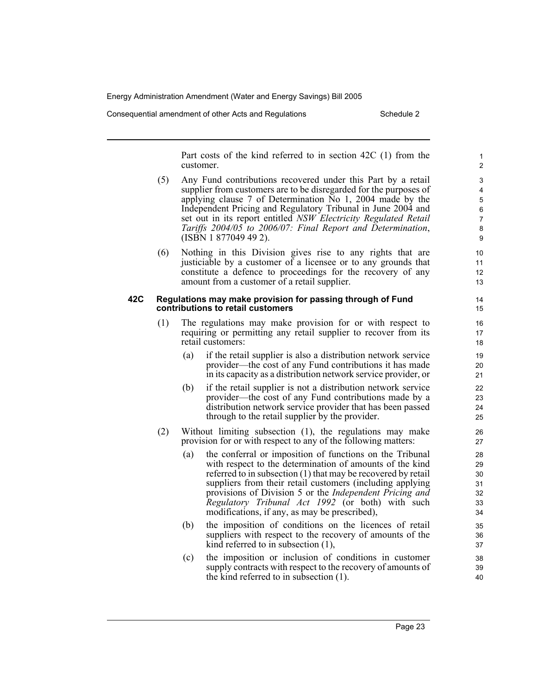Consequential amendment of other Acts and Regulations Schedule 2

Part costs of the kind referred to in section 42C (1) from the customer.

- (5) Any Fund contributions recovered under this Part by a retail supplier from customers are to be disregarded for the purposes of applying clause 7 of Determination No 1, 2004 made by the Independent Pricing and Regulatory Tribunal in June 2004 and set out in its report entitled *NSW Electricity Regulated Retail Tariffs 2004/05 to 2006/07: Final Report and Determination*, (ISBN 1 877049 49 2).
- (6) Nothing in this Division gives rise to any rights that are justiciable by a customer of a licensee or to any grounds that constitute a defence to proceedings for the recovery of any amount from a customer of a retail supplier.

#### **42C Regulations may make provision for passing through of Fund contributions to retail customers**

- (1) The regulations may make provision for or with respect to requiring or permitting any retail supplier to recover from its retail customers:
	- (a) if the retail supplier is also a distribution network service provider—the cost of any Fund contributions it has made in its capacity as a distribution network service provider, or
	- (b) if the retail supplier is not a distribution network service provider—the cost of any Fund contributions made by a distribution network service provider that has been passed through to the retail supplier by the provider.
- (2) Without limiting subsection (1), the regulations may make provision for or with respect to any of the following matters:
	- (a) the conferral or imposition of functions on the Tribunal with respect to the determination of amounts of the kind referred to in subsection (1) that may be recovered by retail suppliers from their retail customers (including applying provisions of Division 5 or the *Independent Pricing and Regulatory Tribunal Act 1992* (or both) with such modifications, if any, as may be prescribed),
	- (b) the imposition of conditions on the licences of retail suppliers with respect to the recovery of amounts of the kind referred to in subsection (1),
	- (c) the imposition or inclusion of conditions in customer supply contracts with respect to the recovery of amounts of the kind referred to in subsection (1).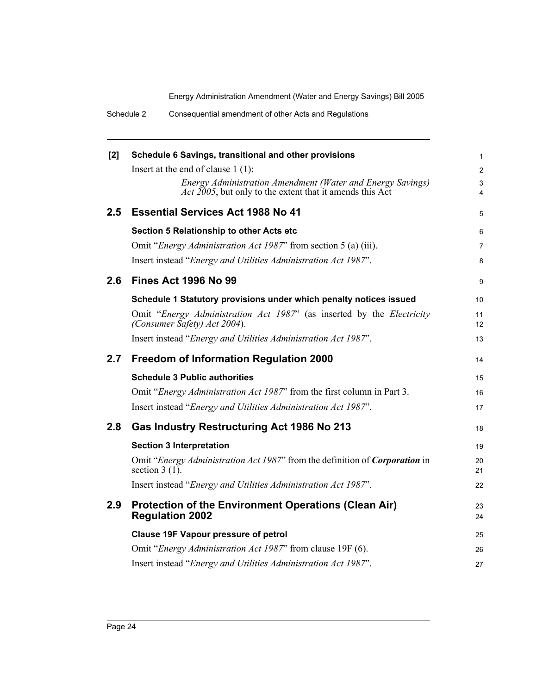| Schedule 2 | Consequential amendment of other Acts and Regulations |
|------------|-------------------------------------------------------|
|------------|-------------------------------------------------------|

| [2] | Schedule 6 Savings, transitional and other provisions                                                                          | 1              |
|-----|--------------------------------------------------------------------------------------------------------------------------------|----------------|
|     | Insert at the end of clause $1(1)$ :                                                                                           | $\overline{2}$ |
|     | Energy Administration Amendment (Water and Energy Savings)<br><i>Act 2005</i> , but only to the extent that it amends this Act | 3<br>4         |
| 2.5 | <b>Essential Services Act 1988 No 41</b>                                                                                       | 5              |
|     | Section 5 Relationship to other Acts etc                                                                                       | 6              |
|     | Omit "Energy Administration Act 1987" from section 5 (a) (iii).                                                                | 7              |
|     | Insert instead "Energy and Utilities Administration Act 1987".                                                                 | 8              |
| 2.6 | <b>Fines Act 1996 No 99</b>                                                                                                    | 9              |
|     | Schedule 1 Statutory provisions under which penalty notices issued                                                             | 10             |
|     | Omit "Energy Administration Act 1987" (as inserted by the Electricity<br>(Consumer Safety) Act 2004).                          | 11<br>12       |
|     | Insert instead "Energy and Utilities Administration Act 1987".                                                                 | 13             |
| 2.7 | <b>Freedom of Information Regulation 2000</b>                                                                                  | 14             |
|     | <b>Schedule 3 Public authorities</b>                                                                                           | 15             |
|     | Omit "Energy Administration Act 1987" from the first column in Part 3.                                                         | 16             |
|     | Insert instead "Energy and Utilities Administration Act 1987".                                                                 | 17             |
| 2.8 | Gas Industry Restructuring Act 1986 No 213                                                                                     | 18             |
|     | <b>Section 3 Interpretation</b>                                                                                                | 19             |
|     | Omit "Energy Administration Act 1987" from the definition of Corporation in<br>section $3(1)$ .                                | 20<br>21       |
|     | Insert instead "Energy and Utilities Administration Act 1987".                                                                 | 22             |
| 2.9 | <b>Protection of the Environment Operations (Clean Air)</b><br><b>Regulation 2002</b>                                          | 23<br>24       |
|     | <b>Clause 19F Vapour pressure of petrol</b>                                                                                    | 25             |
|     | Omit "Energy Administration Act 1987" from clause 19F (6).                                                                     | 26             |
|     | Insert instead "Energy and Utilities Administration Act 1987".                                                                 | 27             |